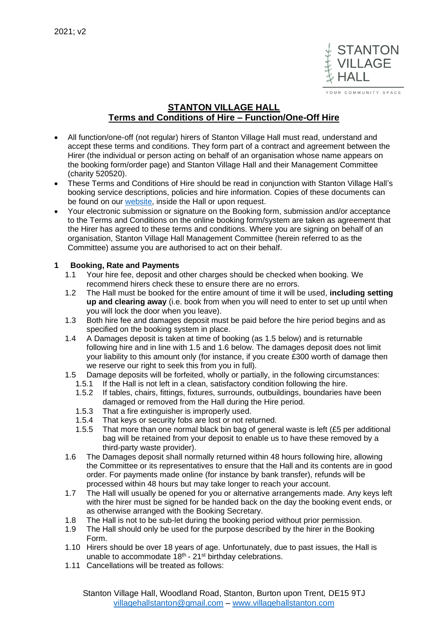

OUR COMMUNITY SPACE

# **STANTON VILLAGE HALL Terms and Conditions of Hire – Function/One-Off Hire**

- All function/one-off (not regular) hirers of Stanton Village Hall must read, understand and accept these terms and conditions. They form part of a contract and agreement between the Hirer (the individual or person acting on behalf of an organisation whose name appears on the booking form/order page) and Stanton Village Hall and their Management Committee (charity 520520).
- These Terms and Conditions of Hire should be read in conjunction with Stanton Village Hall's booking service descriptions, policies and hire information. Copies of these documents can be found on our [website,](http://www.villagehallstanton.com/) inside the Hall or upon request.
- Your electronic submission or signature on the Booking form, submission and/or acceptance to the Terms and Conditions on the online booking form/system are taken as agreement that the Hirer has agreed to these terms and conditions. Where you are signing on behalf of an organisation, Stanton Village Hall Management Committee (herein referred to as the Committee) assume you are authorised to act on their behalf.

## **1 Booking, Rate and Payments**

- 1.1 Your hire fee, deposit and other charges should be checked when booking. We recommend hirers check these to ensure there are no errors.
- 1.2 The Hall must be booked for the entire amount of time it will be used, **including setting up and clearing away** (i.e. book from when you will need to enter to set up until when you will lock the door when you leave).
- 1.3 Both hire fee and damages deposit must be paid before the hire period begins and as specified on the booking system in place.
- 1.4 A Damages deposit is taken at time of booking (as 1.5 below) and is returnable following hire and in line with 1.5 and 1.6 below. The damages deposit does not limit your liability to this amount only (for instance, if you create £300 worth of damage then we reserve our right to seek this from you in full).
- 1.5 Damage deposits will be forfeited, wholly or partially, in the following circumstances:
	- 1.5.1 If the Hall is not left in a clean, satisfactory condition following the hire.
	- 1.5.2 If tables, chairs, fittings, fixtures, surrounds, outbuildings, boundaries have been damaged or removed from the Hall during the Hire period.
	- 1.5.3 That a fire extinguisher is improperly used.
	- 1.5.4 That keys or security fobs are lost or not returned.
	- 1.5.5 That more than one normal black bin bag of general waste is left (£5 per additional bag will be retained from your deposit to enable us to have these removed by a third-party waste provider).
- 1.6 The Damages deposit shall normally returned within 48 hours following hire, allowing the Committee or its representatives to ensure that the Hall and its contents are in good order. For payments made online (for instance by bank transfer), refunds will be processed within 48 hours but may take longer to reach your account.
- 1.7 The Hall will usually be opened for you or alternative arrangements made. Any keys left with the hirer must be signed for be handed back on the day the booking event ends, or as otherwise arranged with the Booking Secretary.
- 1.8 The Hall is not to be sub-let during the booking period without prior permission.
- 1.9 The Hall should only be used for the purpose described by the hirer in the Booking Form.
- 1.10 Hirers should be over 18 years of age. Unfortunately, due to past issues, the Hall is unable to accommodate  $18<sup>th</sup>$  - 21<sup>st</sup> birthday celebrations.
- 1.11 Cancellations will be treated as follows: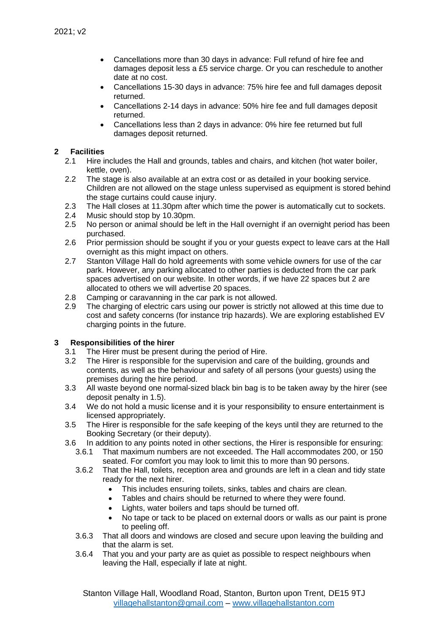- Cancellations more than 30 days in advance: Full refund of hire fee and damages deposit less a £5 service charge. Or you can reschedule to another date at no cost.
- Cancellations 15-30 days in advance: 75% hire fee and full damages deposit returned.
- Cancellations 2-14 days in advance: 50% hire fee and full damages deposit returned.
- Cancellations less than 2 days in advance: 0% hire fee returned but full damages deposit returned.

#### **2 Facilities**

- 2.1 Hire includes the Hall and grounds, tables and chairs, and kitchen (hot water boiler, kettle, oven).
- 2.2 The stage is also available at an extra cost or as detailed in your booking service. Children are not allowed on the stage unless supervised as equipment is stored behind the stage curtains could cause injury.
- 2.3 The Hall closes at 11.30pm after which time the power is automatically cut to sockets.
- 2.4 Music should stop by 10.30pm.
- 2.5 No person or animal should be left in the Hall overnight if an overnight period has been purchased.
- 2.6 Prior permission should be sought if you or your guests expect to leave cars at the Hall overnight as this might impact on others.
- 2.7 Stanton Village Hall do hold agreements with some vehicle owners for use of the car park. However, any parking allocated to other parties is deducted from the car park spaces advertised on our website. In other words, if we have 22 spaces but 2 are allocated to others we will advertise 20 spaces.
- 2.8 Camping or caravanning in the car park is not allowed.
- 2.9 The charging of electric cars using our power is strictly not allowed at this time due to cost and safety concerns (for instance trip hazards). We are exploring established EV charging points in the future.

## **3 Responsibilities of the hirer**

- 3.1 The Hirer must be present during the period of Hire.
- 3.2 The Hirer is responsible for the supervision and care of the building, grounds and contents, as well as the behaviour and safety of all persons (your guests) using the premises during the hire period.
- 3.3 All waste beyond one normal-sized black bin bag is to be taken away by the hirer (see deposit penalty in 1.5).
- 3.4 We do not hold a music license and it is your responsibility to ensure entertainment is licensed appropriately.
- 3.5 The Hirer is responsible for the safe keeping of the keys until they are returned to the Booking Secretary (or their deputy).
- 3.6 In addition to any points noted in other sections, the Hirer is responsible for ensuring:
	- 3.6.1 That maximum numbers are not exceeded. The Hall accommodates 200, or 150 seated. For comfort you may look to limit this to more than 90 persons.
	- 3.6.2 That the Hall, toilets, reception area and grounds are left in a clean and tidy state ready for the next hirer.
		- This includes ensuring toilets, sinks, tables and chairs are clean.
		- Tables and chairs should be returned to where they were found.
		- Lights, water boilers and taps should be turned off.
		- No tape or tack to be placed on external doors or walls as our paint is prone to peeling off.
	- 3.6.3 That all doors and windows are closed and secure upon leaving the building and that the alarm is set.
	- 3.6.4 That you and your party are as quiet as possible to respect neighbours when leaving the Hall, especially if late at night.